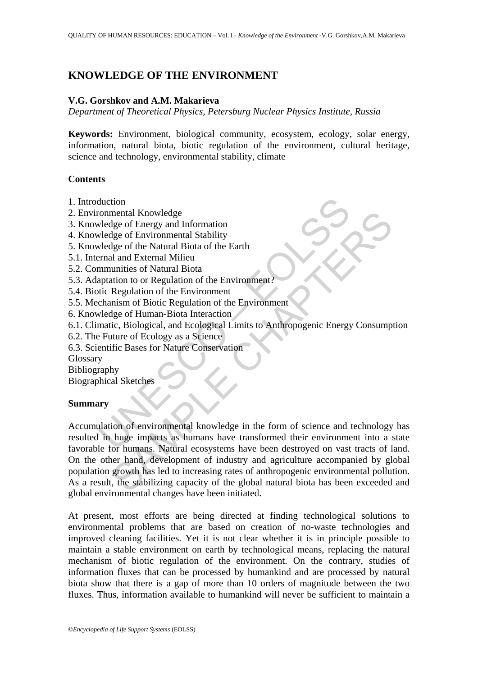# **KNOWLEDGE OF THE ENVIRONMENT**

### **V.G. Gorshkov and A.M. Makarieva**

*Department of Theoretical Physics, Petersburg Nuclear Physics Institute, Russia* 

**Keywords:** Environment, biological community, ecosystem, ecology, solar energy, information, natural biota, biotic regulation of the environment, cultural heritage, science and technology, environmental stability, climate

#### **Contents**

- 1. Introduction
- 2. Environmental Knowledge
- 3. Knowledge of Energy and Information
- 4. Knowledge of Environmental Stability
- 5. Knowledge of the Natural Biota of the Earth
- 5.1. Internal and External Milieu
- 5.2. Communities of Natural Biota
- 5.3. Adaptation to or Regulation of the Environment?
- 5.4. Biotic Regulation of the Environment
- 5.5. Mechanism of Biotic Regulation of the Environment
- 6. Knowledge of Human-Biota Interaction
- 6.1. Climatic, Biological, and Ecological Limits to Anthropogenic Energy Consumption
- 6.2. The Future of Ecology as a Science
- 6.3. Scientific Bases for Nature Conservation

Glossary

- Bibliography
- Biographical Sketches

## **Summary**

duction<br>
onmental Knowledge<br>
veloge of Environmental Stability<br>
veloge of Environmental Stability<br>
veloge of the Natural Biota of the Earth<br>
rmal and External Milieu<br>
mmunities of Natural Biota<br>
aptation to or Regulation o mental Knowledge<br>
dge of Environmental Stability<br>
dge of Environmental Stability<br>
dge of the Natural Biota of the Earth<br>
and External Milieu<br>
unities of Natural Biota<br>
attion to or Regulation of the Environment<br>
Regulation Accumulation of environmental knowledge in the form of science and technology has resulted in huge impacts as humans have transformed their environment into a state favorable for humans. Natural ecosystems have been destroyed on vast tracts of land. On the other hand, development of industry and agriculture accompanied by global population growth has led to increasing rates of anthropogenic environmental pollution. As a result, the stabilizing capacity of the global natural biota has been exceeded and global environmental changes have been initiated.

At present, most efforts are being directed at finding technological solutions to environmental problems that are based on creation of no-waste technologies and improved cleaning facilities. Yet it is not clear whether it is in principle possible to maintain a stable environment on earth by technological means, replacing the natural mechanism of biotic regulation of the environment. On the contrary, studies of information fluxes that can be processed by humankind and are processed by natural biota show that there is a gap of more than 10 orders of magnitude between the two fluxes. Thus, information available to humankind will never be sufficient to maintain a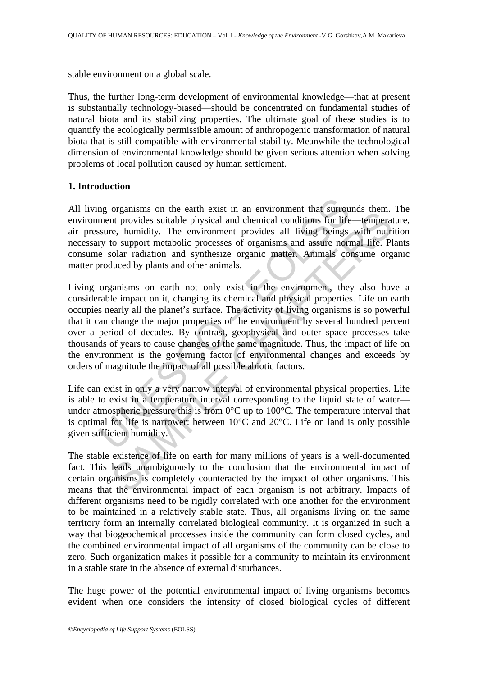stable environment on a global scale.

Thus, the further long-term development of environmental knowledge—that at present is substantially technology-biased—should be concentrated on fundamental studies of natural biota and its stabilizing properties. The ultimate goal of these studies is to quantify the ecologically permissible amount of anthropogenic transformation of natural biota that is still compatible with environmental stability. Meanwhile the technological dimension of environmental knowledge should be given serious attention when solving problems of local pollution caused by human settlement.

#### **1. Introduction**

All living organisms on the earth exist in an environment that surrounds them. The environment provides suitable physical and chemical conditions for life—temperature, air pressure, humidity. The environment provides all living beings with nutrition necessary to support metabolic processes of organisms and assure normal life. Plants consume solar radiation and synthesize organic matter. Animals consume organic matter produced by plants and other animals.

mg organisms on the earth exist in an environment that surroument provides suitable physical and chemical conditions for lifesure, humidity. The environment provides all living beings expry to support metabolic processes organisms on the cannel exact in an environment that surfounds then<br>the provides suitable physical and chemical conditions for life—temperate,<br>e, humidity. The environment provides all living beings with nutri<br>os upport m Living organisms on earth not only exist in the environment, they also have a considerable impact on it, changing its chemical and physical properties. Life on earth occupies nearly all the planet's surface. The activity of living organisms is so powerful that it can change the major properties of the environment by several hundred percent over a period of decades. By contrast, geophysical and outer space processes take thousands of years to cause changes of the same magnitude. Thus, the impact of life on the environment is the governing factor of environmental changes and exceeds by orders of magnitude the impact of all possible abiotic factors.

Life can exist in only a very narrow interval of environmental physical properties. Life is able to exist in a temperature interval corresponding to the liquid state of water under atmospheric pressure this is from 0°C up to 100°C. The temperature interval that is optimal for life is narrower: between 10°C and 20°C. Life on land is only possible given sufficient humidity.

The stable existence of life on earth for many millions of years is a well-documented fact. This leads unambiguously to the conclusion that the environmental impact of certain organisms is completely counteracted by the impact of other organisms. This means that the environmental impact of each organism is not arbitrary. Impacts of different organisms need to be rigidly correlated with one another for the environment to be maintained in a relatively stable state. Thus, all organisms living on the same territory form an internally correlated biological community. It is organized in such a way that biogeochemical processes inside the community can form closed cycles, and the combined environmental impact of all organisms of the community can be close to zero. Such organization makes it possible for a community to maintain its environment in a stable state in the absence of external disturbances.

The huge power of the potential environmental impact of living organisms becomes evident when one considers the intensity of closed biological cycles of different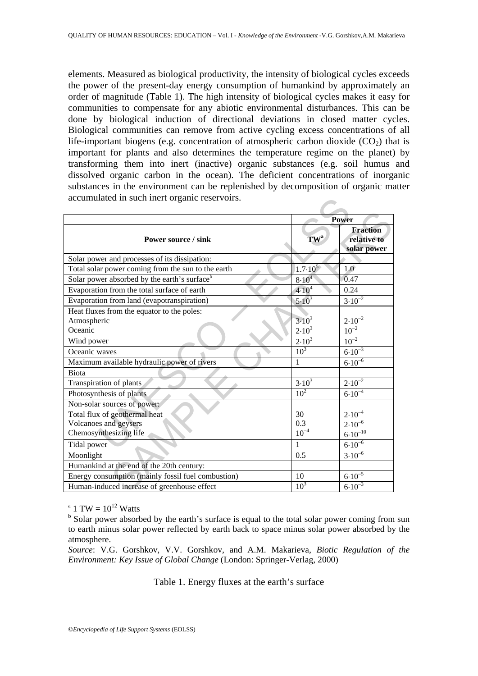elements. Measured as biological productivity, the intensity of biological cycles exceeds the power of the present-day energy consumption of humankind by approximately an order of magnitude (Table 1). The high intensity of biological cycles makes it easy for communities to compensate for any abiotic environmental disturbances. This can be done by biological induction of directional deviations in closed matter cycles. Biological communities can remove from active cycling excess concentrations of all life-important biogens (e.g. concentration of atmospheric carbon dioxide  $(CO<sub>2</sub>)$  that is important for plants and also determines the temperature regime on the planet) by transforming them into inert (inactive) organic substances (e.g. soil humus and dissolved organic carbon in the ocean). The deficient concentrations of inorganic substances in the environment can be replenished by decomposition of organic matter accumulated in such inert organic reservoirs.

| accumulated in such inert organic reservoirs.      |                    |                                               |
|----------------------------------------------------|--------------------|-----------------------------------------------|
|                                                    | Power              |                                               |
| <b>Power source / sink</b>                         | $TW^a$             | <b>Fraction</b><br>relative to<br>solar power |
| Solar power and processes of its dissipation:      |                    |                                               |
| Total solar power coming from the sun to the earth | $1.7 \cdot 10^{5}$ | 1.0                                           |
| Solar power absorbed by the earth's surfaceb       | $8.10^{4}$         | 0.47                                          |
| Evaporation from the total surface of earth        | $4.10^{4}$         | 0.24                                          |
| Evaporation from land (evapotranspiration)         | $5.10^{3}$         | $3.10^{-2}$                                   |
| Heat fluxes from the equator to the poles:         |                    |                                               |
| Atmospheric                                        | $3.10^{3}$         | $2.10^{-2}$                                   |
| Oceanic                                            | $2.10^{3}$         | $10^{-2}$                                     |
| Wind power                                         | $2.10^{3}$         | $10^{-2}$                                     |
| Oceanic waves                                      | 10 <sup>3</sup>    | $6.10^{-3}$                                   |
| Maximum available hydraulic power of rivers        | $\mathbf{1}$       | $6.10^{-6}$                                   |
| <b>Biota</b>                                       |                    |                                               |
| Transpiration of plants                            | $3.10^{3}$         | $2.10^{-2}$                                   |
| Photosynthesis of plants                           | 10 <sup>2</sup>    | $6.10^{-4}$                                   |
| Non-solar sources of power:                        |                    |                                               |
| Total flux of geothermal heat                      | 30                 | $2.10^{-4}$                                   |
| Volcanoes and geysers                              | 0.3                | $2.10^{-6}$                                   |
| Chemosynthesizing life                             | $10^{-4}$          | $6.10^{-10}$                                  |
| Tidal power                                        | $\mathbf{1}$       | $6.10^{-6}$                                   |
| Moonlight                                          | 0.5                | $3.10^{-6}$                                   |
| Humankind at the end of the 20th century:          |                    |                                               |
| Energy consumption (mainly fossil fuel combustion) | 10                 | $6.10^{-5}$                                   |
| Human-induced increase of greenhouse effect        | 10 <sup>3</sup>    | $6.10^{-3}$                                   |

<sup>a</sup> 1 TW =  $10^{12}$  Watts

*Source*: V.G. Gorshkov, V.V. Gorshkov, and A.M. Makarieva, *Biotic Regulation of the Environment: Key Issue of Global Change* (London: Springer-Verlag, 2000)

#### Table 1. Energy fluxes at the earth's surface

<sup>&</sup>lt;sup>b</sup> Solar power absorbed by the earth's surface is equal to the total solar power coming from sun to earth minus solar power reflected by earth back to space minus solar power absorbed by the atmosphere.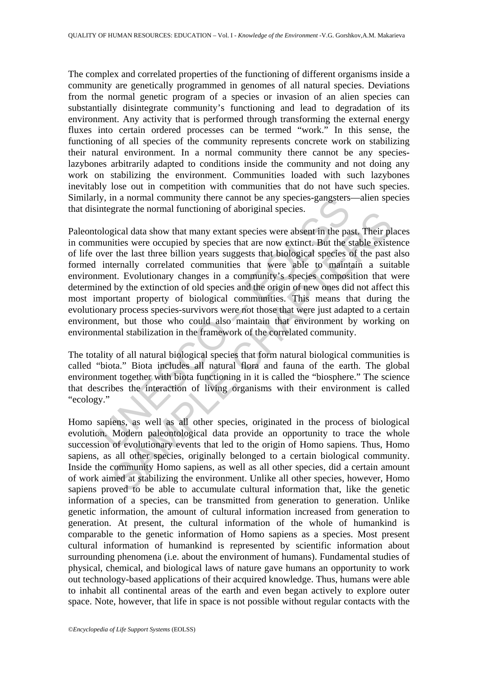The complex and correlated properties of the functioning of different organisms inside a community are genetically programmed in genomes of all natural species. Deviations from the normal genetic program of a species or invasion of an alien species can substantially disintegrate community's functioning and lead to degradation of its environment. Any activity that is performed through transforming the external energy fluxes into certain ordered processes can be termed "work." In this sense, the functioning of all species of the community represents concrete work on stabilizing their natural environment. In a normal community there cannot be any specieslazybones arbitrarily adapted to conditions inside the community and not doing any work on stabilizing the environment. Communities loaded with such lazybones inevitably lose out in competition with communities that do not have such species. Similarly, in a normal community there cannot be any species-gangsters—alien species that disintegrate the normal functioning of aboriginal species.

by, in a normal community there cannot be any species-gangesters<br>integrate the normal functioning of aboriginal species.<br>Ological data show that many extant species were absent in the pa<br>numities were occupied by species t giate and notinal ranctoning or aboriginal species.<br>
Sigical data show that many extant species were absent in the past. Their pl<br>
dities were occupied by species that are now extinct. But the stable exist<br>
r the last thre Paleontological data show that many extant species were absent in the past. Their places in communities were occupied by species that are now extinct. But the stable existence of life over the last three billion years suggests that biological species of the past also formed internally correlated communities that were able to maintain a suitable environment. Evolutionary changes in a community's species composition that were determined by the extinction of old species and the origin of new ones did not affect this most important property of biological communities. This means that during the evolutionary process species-survivors were not those that were just adapted to a certain environment, but those who could also maintain that environment by working on environmental stabilization in the framework of the correlated community.

The totality of all natural biological species that form natural biological communities is called "biota." Biota includes all natural flora and fauna of the earth. The global environment together with biota functioning in it is called the "biosphere." The science that describes the interaction of living organisms with their environment is called "ecology."

Homo sapiens, as well as all other species, originated in the process of biological evolution. Modern paleontological data provide an opportunity to trace the whole succession of evolutionary events that led to the origin of Homo sapiens. Thus, Homo sapiens, as all other species, originally belonged to a certain biological community. Inside the community Homo sapiens, as well as all other species, did a certain amount of work aimed at stabilizing the environment. Unlike all other species, however, Homo sapiens proved to be able to accumulate cultural information that, like the genetic information of a species, can be transmitted from generation to generation. Unlike genetic information, the amount of cultural information increased from generation to generation. At present, the cultural information of the whole of humankind is comparable to the genetic information of Homo sapiens as a species. Most present cultural information of humankind is represented by scientific information about surrounding phenomena (i.e. about the environment of humans). Fundamental studies of physical, chemical, and biological laws of nature gave humans an opportunity to work out technology-based applications of their acquired knowledge. Thus, humans were able to inhabit all continental areas of the earth and even began actively to explore outer space. Note, however, that life in space is not possible without regular contacts with the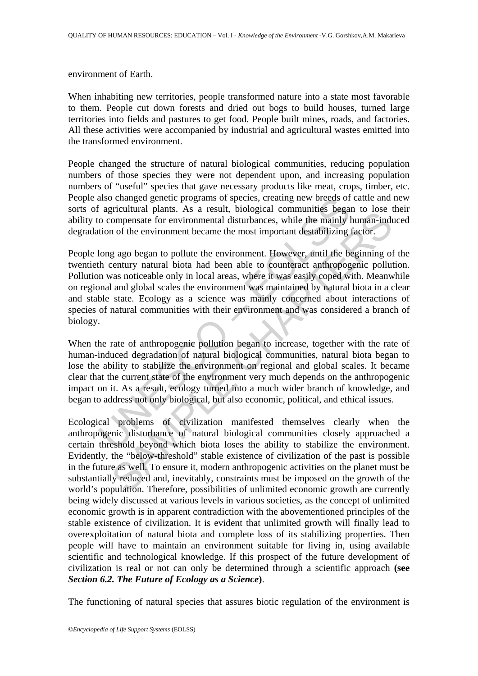environment of Earth.

When inhabiting new territories, people transformed nature into a state most favorable to them. People cut down forests and dried out bogs to build houses, turned large territories into fields and pastures to get food. People built mines, roads, and factories. All these activities were accompanied by industrial and agricultural wastes emitted into the transformed environment.

People changed the structure of natural biological communities, reducing population numbers of those species they were not dependent upon, and increasing population numbers of "useful" species that gave necessary products like meat, crops, timber, etc. People also changed genetic programs of species, creating new breeds of cattle and new sorts of agricultural plants. As a result, biological communities began to lose their ability to compensate for environmental disturbances, while the mainly human-induced degradation of the environment became the most important destabilizing factor.

also changed genetic programs of species, creating new breeds of<br>
i agricultural plants. As a result, biological communities began<br>
co compensate for environmental disturbationes, while the mainly loo<br>
compensate for envir produced a promotion of the main state. So a celular commentation between the mainly human-induction or environmental disturbances while the mainly human-induction of the environment became the most important destabilizing People long ago began to pollute the environment. However, until the beginning of the twentieth century natural biota had been able to counteract anthropogenic pollution. Pollution was noticeable only in local areas, where it was easily coped with. Meanwhile on regional and global scales the environment was maintained by natural biota in a clear and stable state. Ecology as a science was mainly concerned about interactions of species of natural communities with their environment and was considered a branch of biology.

When the rate of anthropogenic pollution began to increase, together with the rate of human-induced degradation of natural biological communities, natural biota began to lose the ability to stabilize the environment on regional and global scales. It became clear that the current state of the environment very much depends on the anthropogenic impact on it. As a result, ecology turned into a much wider branch of knowledge, and began to address not only biological, but also economic, political, and ethical issues.

Ecological problems of civilization manifested themselves clearly when the anthropogenic disturbance of natural biological communities closely approached a certain threshold beyond which biota loses the ability to stabilize the environment. Evidently, the "below-threshold" stable existence of civilization of the past is possible in the future as well. To ensure it, modern anthropogenic activities on the planet must be substantially reduced and, inevitably, constraints must be imposed on the growth of the world's population. Therefore, possibilities of unlimited economic growth are currently being widely discussed at various levels in various societies, as the concept of unlimited economic growth is in apparent contradiction with the abovementioned principles of the stable existence of civilization. It is evident that unlimited growth will finally lead to overexploitation of natural biota and complete loss of its stabilizing properties. Then people will have to maintain an environment suitable for living in, using available scientific and technological knowledge. If this prospect of the future development of civilization is real or not can only be determined through a scientific approach **(see**  *Section 6.2. The Future of Ecology as a Science***)**.

The functioning of natural species that assures biotic regulation of the environment is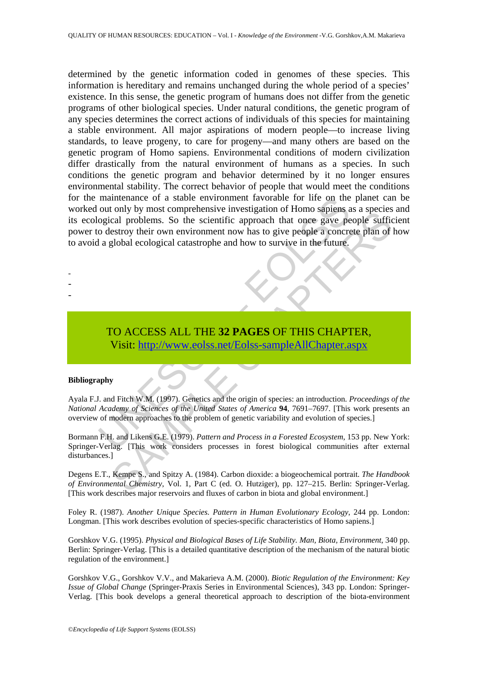mantenance of a stable environment favorable for life on the<br>original problems. So the scientific approach that once gave per<br>odestroy their own environment now has to give people a concre<br>a global ecological catastrophe a For the United States (including the Chapter and Proceed Experimental Chemistry, Vol. 1, Part Chemistry, Not all problems. So the scientific approach that once gave people a soncetee plan of excluded ecological catastrophe determined by the genetic information coded in genomes of these species. This information is hereditary and remains unchanged during the whole period of a species' existence. In this sense, the genetic program of humans does not differ from the genetic programs of other biological species. Under natural conditions, the genetic program of any species determines the correct actions of individuals of this species for maintaining a stable environment. All major aspirations of modern people—to increase living standards, to leave progeny, to care for progeny—and many others are based on the genetic program of Homo sapiens. Environmental conditions of modern civilization differ drastically from the natural environment of humans as a species. In such conditions the genetic program and behavior determined by it no longer ensures environmental stability. The correct behavior of people that would meet the conditions for the maintenance of a stable environment favorable for life on the planet can be worked out only by most comprehensive investigation of Homo sapiens as a species and its ecological problems. So the scientific approach that once gave people sufficient power to destroy their own environment now has to give people a concrete plan of how to avoid a global ecological catastrophe and how to survive in the future.

TO ACCESS ALL THE **32 PAGES** OF THIS CHAPTER, Visit: http://www.eolss.net/Eolss-sampleAllChapter.aspx

#### **Bibliography**

- - -

Ayala F.J. and Fitch W.M. (1997). Genetics and the origin of species: an introduction. *Proceedings of the National Academy of Sciences of the United States of America* **94**, 7691–7697. [This work presents an overview of modern approaches to the problem of genetic variability and evolution of species.]

Bormann F.H. and Likens G.E. (1979). *Pattern and Process in a Forested Ecosystem*, 153 pp. New York: Springer-Verlag. [This work considers processes in forest biological communities after external disturbances.<sup>1</sup>

Degens E.T., Kempe S., and Spitzy A. (1984). Carbon dioxide: a biogeochemical portrait. *The Handbook of Environmental Chemistry*, Vol. 1, Part C (ed. O. Hutziger), pp. 127–215. Berlin: Springer-Verlag. [This work describes major reservoirs and fluxes of carbon in biota and global environment.]

Foley R. (1987). *Another Unique Species. Pattern in Human Evolutionary Ecology*, 244 pp. London: Longman. [This work describes evolution of species-specific characteristics of Homo sapiens.]

Gorshkov V.G. (1995). *Physical and Biological Bases of Life Stability. Man, Biota, Environment*, 340 pp. Berlin: Springer-Verlag. [This is a detailed quantitative description of the mechanism of the natural biotic regulation of the environment.]

Gorshkov V.G., Gorshkov V.V., and Makarieva A.M. (2000). *Biotic Regulation of the Environment: Key Issue of Global Change* (Springer-Praxis Series in Environmental Sciences), 343 pp. London: Springer-Verlag. [This book develops a general theoretical approach to description of the biota-environment